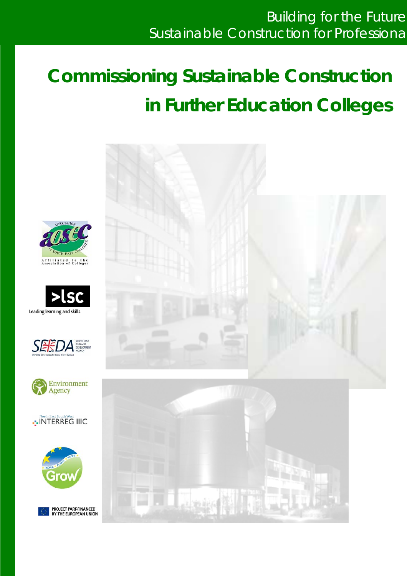# **Commissioning Sustainable Construction in Further Education Colleges**













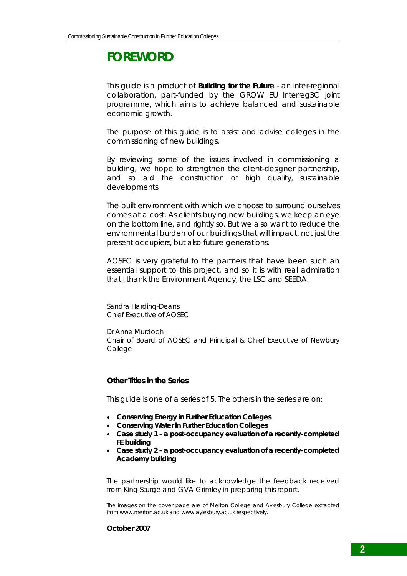# **FOREWORD**

This guide is a product of *Building for the Future* - an inter-regional collaboration, part-funded by the GROW EU Interreg3C joint programme, which aims to achieve balanced and sustainable economic growth.

The purpose of this guide is to assist and advise colleges in the commissioning of new buildings.

By reviewing some of the issues involved in commissioning a building, we hope to strengthen the client-designer partnership, and so aid the construction of high quality, sustainable developments.

The built environment with which we choose to surround ourselves comes at a cost. As clients buying new buildings, we keep an eye on the bottom line, and rightly so. But we also want to reduce the environmental burden of our buildings that will impact, not just the present occupiers, but also future generations.

AOSEC is very grateful to the partners that have been such an essential support to this project, and so it is with real admiration that I thank the Environment Agency, the LSC and SEEDA.

Sandra Harding-Deans Chief Executive of AOSEC

Dr Anne Murdoch Chair of Board of AOSEC and Principal & Chief Executive of Newbury College

### **Other Titles in the Series**

*This guide is one of a series of 5. The others in the series are on:* 

- *Conserving Energy in Further Education Colleges*
- *Conserving Water in Further Education Colleges*
- *Case study 1 a post-occupancy evaluation of a recently-completed FE building*
- *Case study 2 a post-occupancy evaluation of a recently-completed Academy building*

The partnership would like to acknowledge the feedback received from King Sturge and GVA Grimley in preparing this report.

The images on the cover page are of Merton College and Aylesbury College extracted from www.merton.ac.uk and www.aylesbury.ac.uk respectively.

#### **October 2007**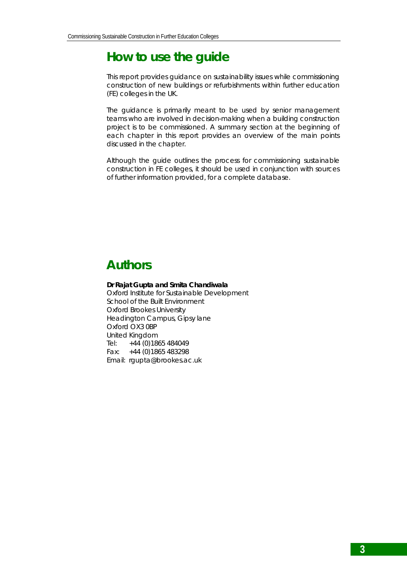# **How to use the guide**

This report provides guidance on sustainability issues while commissioning construction of new buildings or refurbishments within further education (FE) colleges in the UK.

The guidance is primarily meant to be used by senior management teams who are involved in decision-making when a building construction project is to be commissioned. A summary section at the beginning of each chapter in this report provides an overview of the main points discussed in the chapter.

Although the guide outlines the process for commissioning sustainable construction in FE colleges, it should be used in conjunction with sources of further information provided, for a complete database.

# **Authors**

**Dr Rajat Gupta and Smita Chandiwala** Oxford Institute for Sustainable Development School of the Built Environment Oxford Brookes University Headington Campus, Gipsy lane Oxford OX3 0BP United Kingdom Tel: +44 (0)1865 484049 Fax: +44 (0)1865 483298 Email: rgupta@brookes.ac.uk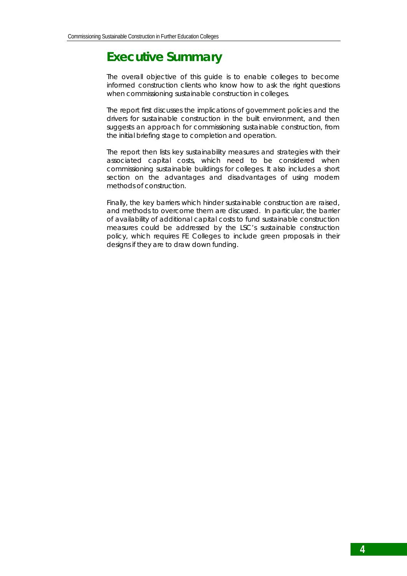# **Executive Summary**

The overall objective of this guide is to enable colleges to become informed construction clients who know how to ask the right questions when commissioning sustainable construction in colleges.

The report first discusses the implications of government policies and the drivers for sustainable construction in the built environment, and then suggests an approach for commissioning sustainable construction, from the initial briefing stage to completion and operation.

The report then lists key sustainability measures and strategies with their associated capital costs, which need to be considered when commissioning sustainable buildings for colleges. It also includes a short section on the advantages and disadvantages of using modern methods of construction.

Finally, the key barriers which hinder sustainable construction are raised, and methods to overcome them are discussed. In particular, the barrier of availability of additional capital costs to fund sustainable construction measures could be addressed by the LSC's sustainable construction policy, which requires FE Colleges to include green proposals in their designs if they are to draw down funding.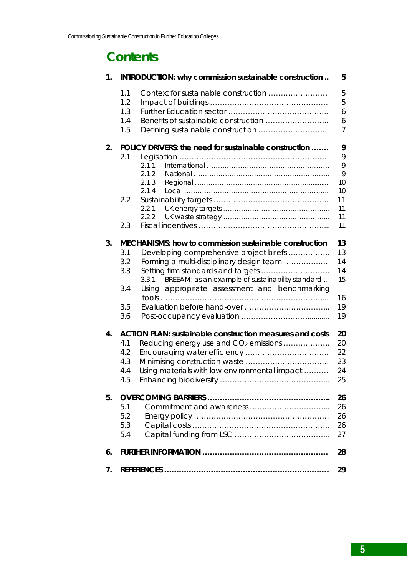# **Contents**

| 1. |            | INTRODUCTION: why commission sustainable construction                                                      | 5        |
|----|------------|------------------------------------------------------------------------------------------------------------|----------|
|    | 1.1        | Context for sustainable construction                                                                       | 5        |
|    | 1.2        |                                                                                                            | 5        |
|    | 1.3        |                                                                                                            | 6        |
|    | 1.4<br>1.5 |                                                                                                            | 6<br>7   |
|    |            |                                                                                                            |          |
| 2. |            | POLICY DRIVERS: the need for sustainable construction                                                      | 9        |
|    | 2.1        |                                                                                                            | 9<br>9   |
|    |            | 2.1.1<br>2.1.2                                                                                             | 9        |
|    |            | 2.1.3                                                                                                      | 10       |
|    |            | 2.1.4                                                                                                      | 10       |
|    | 2.2        |                                                                                                            | 11       |
|    |            | 2.2.1                                                                                                      | 11       |
|    |            | 2.2.2                                                                                                      | 11       |
|    | 2.3        |                                                                                                            | 11       |
| 3. |            | MECHANISMS: how to commission sustainable construction                                                     | 13       |
|    | 3.1        | Developing comprehensive project briefs                                                                    | 13       |
|    | 3.2        | Forming a multi-disciplinary design team                                                                   | 14       |
|    | 3.3        | Setting firm standards and targets                                                                         | 14       |
|    | 3.4        | BREEAM: as an example of sustainability standard<br>3.3.1<br>Using appropriate assessment and benchmarking | 15       |
|    | 3.5        |                                                                                                            | 16<br>19 |
|    | 3.6        |                                                                                                            | 19       |
|    |            |                                                                                                            |          |
| 4. |            | <b>ACTION PLAN: sustainable construction measures and costs</b>                                            | 20       |
|    | 4.1        | Reducing energy use and CO <sub>2</sub> emissions                                                          | 20       |
|    | 4.2        |                                                                                                            | 22       |
|    | 4.3<br>4.4 |                                                                                                            | 23<br>24 |
|    | 4.5        | Using materials with low environmental impact                                                              | 25       |
|    |            |                                                                                                            |          |
| 5. |            |                                                                                                            | 26       |
|    | 5.1        |                                                                                                            | 26       |
|    | 5.2        |                                                                                                            | 26       |
|    | 5.3        |                                                                                                            | 26       |
|    | 5.4        |                                                                                                            | 27       |
| 6. |            |                                                                                                            | 28       |
| 7. |            |                                                                                                            | 29       |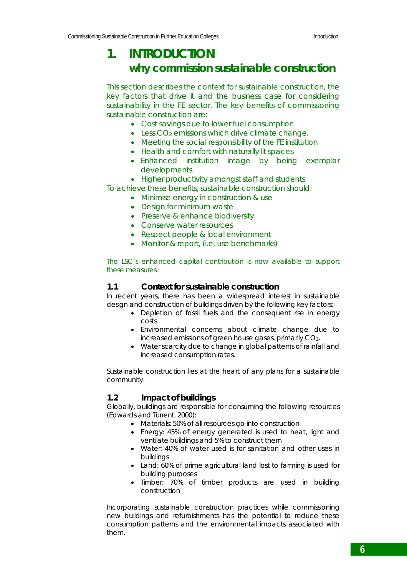# **1. INTRODUCTION why commission sustainable construction**

This section describes the context for sustainable construction, the key factors that drive it and the business case for considering sustainability in the FE sector. The key benefits of commissioning sustainable construction are:

- Cost savings due to lower fuel consumption
- Less CO<sub>2</sub> emissions which drive climate change.
- Meeting the social responsibility of the FE institution
- Health and comfort with naturally lit spaces
- Enhanced institution image by being exemplar developments

• Higher productivity amongst staff and students

To achieve these benefits, sustainable construction should:

- Minimise energy in construction & use
- Design for minimum waste
- Preserve & enhance biodiversity
- Conserve water resources
- Respect people & local environment
- Monitor & report, (i.e. use benchmarks)

The LSC's enhanced capital contribution is now available to support these measures.

### **1.1 Context for sustainable construction**

In recent years, there has been a widespread interest in sustainable design and construction of buildings driven by the following key factors:

- Depletion of fossil fuels and the consequent rise in energy costs
- Environmental concerns about climate change due to increased emissions of green house gases, primarily CO<sub>2</sub>.
- Water scarcity due to change in global patterns of rainfall and increased consumption rates.

Sustainable construction lies at the heart of any plans for a sustainable community.

# **1.2 Impact of buildings**

Globally, buildings are responsible for consuming the following resources (Edwards and Turrent, 2000):

- Materials: 50% of all resources go into construction
- Energy: 45% of energy generated is used to heat, light and ventilate buildings and 5% to construct them
- Water: 40% of water used is for sanitation and other uses in buildings
- Land: 60% of prime agricultural land lost to farming is used for building purposes
- Timber: 70% of timber products are used in building construction

Incorporating sustainable construction practices while commissioning new buildings and refurbishments has the potential to reduce these consumption patterns and the environmental impacts associated with them.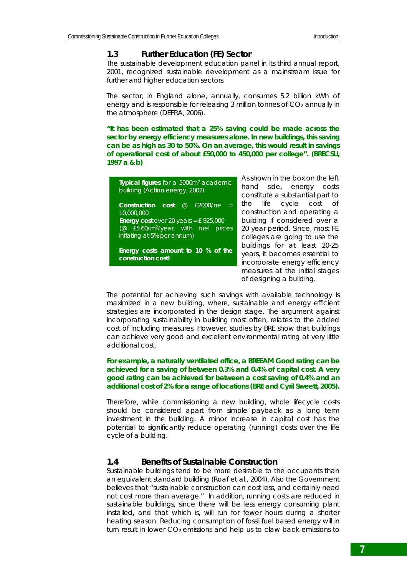### **1.3 Further Education (FE) Sector**

The sustainable development education panel in its third annual report, 2001, recognized *sustainable development* as a mainstream issue for further and higher education sectors.

The sector, in England alone, annually, consumes 5.2 billion kWh of energy and is responsible for releasing 3 million tonnes of  $CO<sub>2</sub>$  annually in the atmosphere (DEFRA, 2006).

*"It has been estimated that a 25% saving could be made across the sector by energy efficiency measures alone. In new buildings, this saving can be as high as 30 to 50%. On an average, this would result in savings of operational cost of about £50,000 to 450,000 per college".* **(BRECSU, 1997 a & b)** 

| Typical figures for a 5000m <sup>2</sup> academic<br>building (Action energy, 2002)                                             | As :<br>har<br>CO             |
|---------------------------------------------------------------------------------------------------------------------------------|-------------------------------|
| @ £2000/m <sup>2</sup><br>Construction cost<br>$=$<br>10,000,000                                                                | the<br>CO                     |
| <b>Energy cost</b> over 20 years = $f$ 925,000<br>(@ £5.60/m <sup>2</sup> /year, with fuel prices<br>inflating at 5% per annum) | bui<br>20 <sup>1</sup><br>col |
| Energy costs amount to 10 % of the<br>construction cost!                                                                        | bui<br>yea<br>inc.            |
|                                                                                                                                 | me                            |

shown in the box on the left hand side, energy costs nstitute a substantial part to life cycle cost of nstruction and operating a lding if considered over a year period. Since, most FE leges are going to use the dings for at least 20-25 ars, it becomes essential to orporate energy efficiency asures at the initial stages of designing a building.

The potential for achieving such savings with available technology is maximized in a new building, where, sustainable and energy efficient strategies are incorporated in the design stage. The argument against incorporating sustainability in building most often, relates to the added cost of including measures. However, studies by BRE show that buildings can achieve very good and excellent environmental rating at very little additional cost.

#### *For example, a naturally ventilated office, a BREEAM Good rating can be achieved for a saving of between 0.3% and 0.4% of capital cost. A very good rating can be achieved for between a cost saving of 0.4% and an additional cost of 2% for a range of locations (BRE and Cyril Sweett, 2005).*

Therefore, while commissioning a new building, whole lifecycle costs should be considered apart from simple payback as a long term investment in the building. A minor increase in capital cost has the potential to significantly reduce operating (running) costs over the life cycle of a building.

### **1.4 Benefits of Sustainable Construction**

Sustainable buildings tend to be more desirable to the occupants than an equivalent standard building (Roaf et al., 2004). Also the Government believes that "sustainable construction can cost less, and certainly need not cost more than average." In addition, running costs are reduced in sustainable buildings, since there will be less energy consuming plant installed, and that which is, will run for fewer hours during a shorter heating season. Reducing consumption of fossil fuel based energy will in turn result in lower  $CO<sub>2</sub>$  emissions and help us to claw back emissions to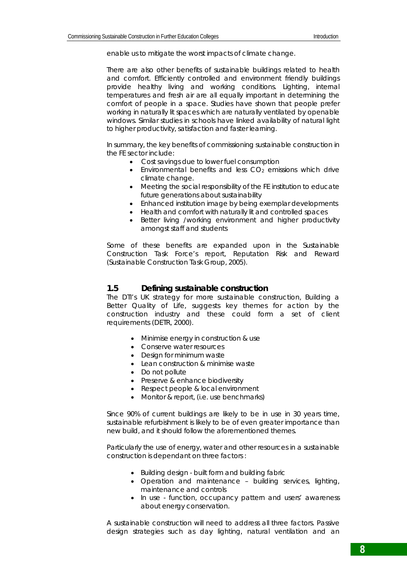enable us to mitigate the worst impacts of climate change.

There are also other benefits of sustainable buildings related to health and comfort. Efficiently controlled and environment friendly buildings provide healthy living and working conditions. Lighting, internal temperatures and fresh air are all equally important in determining the comfort of people in a space. Studies have shown that people prefer working in naturally lit spaces which are naturally ventilated by openable windows. Similar studies in schools have linked availability of natural light to higher productivity, satisfaction and faster learning.

In summary, the key benefits of commissioning sustainable construction in the FE sector include:

- Cost savings due to lower fuel consumption
- $\bullet$  Environmental benefits and less  $CO<sub>2</sub>$  emissions which drive climate change.
- Meeting the social responsibility of the FE institution to educate future generations about sustainability
- Enhanced institution image by being exemplar developments
- Health and comfort with naturally lit and controlled spaces
- Better living /working environment and higher productivity amongst staff and students

Some of these benefits are expanded upon in the Sustainable Construction Task Force's report, *Reputation Risk and Reward* (Sustainable Construction Task Group, 2005).

#### **1.5 Defining sustainable construction**

The DTI's UK strategy for more sustainable construction, *Building a Better Quality of Life*, suggests key themes for action by the construction industry and these could form a set of client requirements (DETR, 2000).

- Minimise energy in construction & use
- Conserve water resources
- Design for minimum waste
- Lean construction & minimise waste
- Do not pollute
- Preserve & enhance biodiversity
- Respect people & local environment
- Monitor & report, (i.e. use benchmarks)

Since 90% of current buildings are likely to be in use in 30 years time, sustainable refurbishment is likely to be of even greater importance than new build, and it should follow the aforementioned themes.

Particularly the use of energy, water and other resources in a sustainable construction is dependant on three factors :

- Building design built form and building fabric
- Operation and maintenance building services, lighting, maintenance and controls
- In use function, occupancy pattern and users' awareness about energy conservation.

A sustainable construction will need to address all three factors. Passive design strategies such as day lighting, natural ventilation and an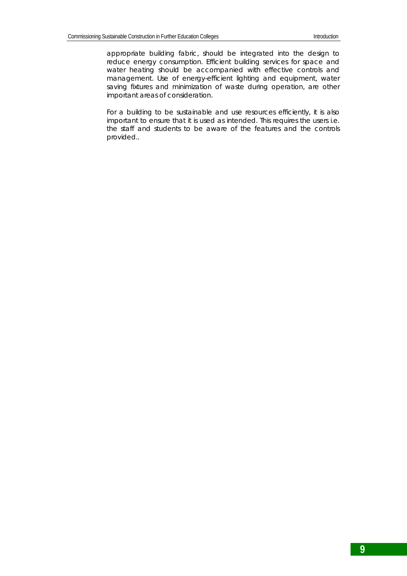appropriate building fabric, should be integrated into the design to reduce energy consumption. Efficient building services for space and water heating should be accompanied with effective controls and management. Use of energy-efficient lighting and equipment, water saving fixtures and minimization of waste during operation, are other important areas of consideration.

For a building to be sustainable and use resources efficiently, it is also important to ensure that it is used as intended. This requires the users i.e. the staff and students to be aware of the features and the controls provided..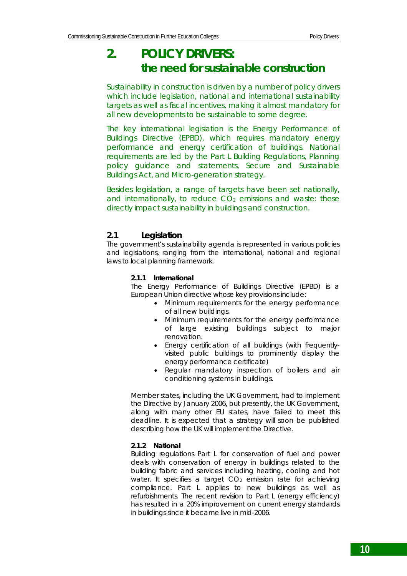# **2. POLICY DRIVERS: the need for sustainable construction**

Sustainability in construction is driven by a number of policy drivers which include legislation, national and international sustainability targets as well as fiscal incentives, making it almost mandatory for all new developments to be sustainable to some degree.

The key international legislation is the Energy Performance of Buildings Directive (EPBD), which requires mandatory energy performance and energy certification of buildings. National requirements are led by the Part L Building Regulations, Planning policy guidance and statements, Secure and Sustainable Buildings Act, and Micro-generation strategy.

Besides legislation, a range of targets have been set nationally, and internationally, to reduce  $CO<sub>2</sub>$  emissions and waste: these directly impact sustainability in buildings and construction.

# **2.1 Legislation**

The government's sustainability agenda is represented in various policies and legislations, ranging from the international, national and regional laws to local planning framework.

#### **2.1.1 International**

The *Energy Performance of Buildings Directive* (EPBD) is a European Union directive whose key provisions include:

- Minimum requirements for the energy performance of all new buildings.
- Minimum requirements for the energy performance of large existing buildings subject to major renovation.
- Energy certification of all buildings (with frequentlyvisited public buildings to prominently display the energy performance certificate)
- Regular mandatory inspection of boilers and air conditioning systems in buildings.

Member states, including the UK Government, had to implement the Directive by January 2006, but presently, the UK Government, along with many other EU states, have failed to meet this deadline. It is expected that a strategy will soon be published describing how the UK will implement the Directive.

#### **2.1.2 National**

*Building regulations Part L for conservation of fuel and power* deals with conservation of energy in buildings related to the building fabric and services including heating, cooling and hot water. It specifies a target  $CO<sub>2</sub>$  emission rate for achieving compliance. Part L applies to new buildings as well as refurbishments. The recent revision to Part L (energy efficiency) has resulted in a 20% improvement on current energy standards in buildings since it became live in mid-2006.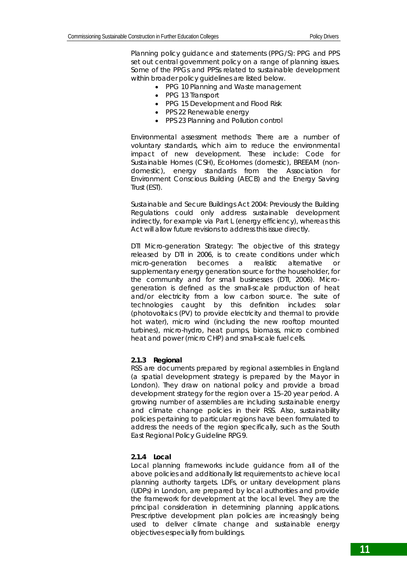*Planning policy guidance and statements (PPG/S):* PPG and PPS set out central government policy on a range of planning issues. Some of the PPGs and PPSs related to sustainable development within broader policy guidelines are listed below.

- PPG 10 Planning and Waste management
- PPG 13 Transport
- PPG 15 Development and Flood Risk
- PPS 22 Renewable energy
- PPS 23 Planning and Pollution control

*Environmental assessment methods:* There are a number of voluntary standards, which aim to reduce the environmental impact of new development. These include: Code for Sustainable Homes (CSH), EcoHomes (domestic), BREEAM (nondomestic), energy standards from the Association for Environment Conscious Building (AECB) and the Energy Saving Trust (EST).

*Sustainable and Secure Buildings Act 2004:* Previously the Building Regulations could only address sustainable development indirectly, for example via Part L (energy efficiency), whereas this Act will allow future revisions to address this issue directly.

*DTI Micro-generation Strategy:* The objective of this strategy released by DTI in 2006, is to create conditions under which micro-generation becomes a realistic alternative or supplementary energy generation source for the householder, for the community and for small businesses (DTI, 2006). Microgeneration is defined as the small-scale production of heat and/or electricity from a low carbon source. The suite of technologies caught by this definition includes: solar (photovoltaics (PV) to provide electricity and thermal to provide hot water), micro wind (including the new rooftop mounted turbines), micro-hydro, heat pumps, biomass, micro combined heat and power (micro CHP) and small-scale fuel cells.

#### *2.1.3 Regional*

RSS are documents prepared by regional assemblies in England (a spatial development strategy is prepared by the Mayor in London). They draw on national policy and provide a broad development strategy for the region over a 15–20 year period. A growing number of assemblies are including sustainable energy and climate change policies in their RSS. Also, sustainability policies pertaining to particular regions have been formulated to address the needs of the region specifically, such as the South East Regional Policy Guideline RPG9.

#### *2.1.4 Local*

Local planning frameworks include guidance from all of the above policies and additionally list requirements to achieve local planning authority targets. LDFs, or unitary development plans (UDPs) in London, are prepared by local authorities and provide the framework for development at the local level. They are the principal consideration in determining planning applications. Prescriptive development plan policies are increasingly being used to deliver climate change and sustainable energy objectives especially from buildings.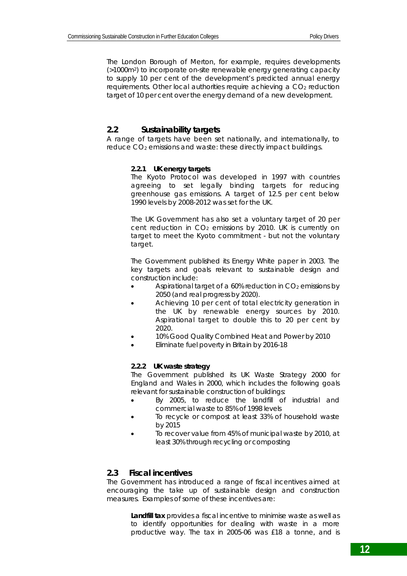The London Borough of Merton, for example, requires developments (>1000m2) to incorporate on-site renewable energy generating capacity to supply 10 per cent of the development's predicted annual energy requirements. Other local authorities require achieving a CO<sub>2</sub> reduction target of 10 per cent over the energy demand of a new development.

### **2.2 Sustainability targets**

A range of targets have been set nationally, and internationally, to reduce CO<sub>2</sub> emissions and waste: these directly impact buildings.

#### *2.2.1 UK energy targets*

The Kyoto Protocol was developed in 1997 with countries agreeing to set legally binding targets for reducing greenhouse gas emissions. A target of 12.5 per cent below 1990 levels by 2008-2012 was set for the UK.

The UK Government has also set a voluntary target of 20 per cent reduction in CO<sub>2</sub> emissions by 2010. UK is currently on target to meet the Kyoto commitment - but not the voluntary target.

The Government published its Energy White paper in 2003. The key targets and goals relevant to sustainable design and construction include:

- Aspirational target of a  $60\%$  reduction in  $CO<sub>2</sub>$  emissions by 2050 (and real progress by 2020).
- Achieving 10 per cent of total electricity generation in the UK by renewable energy sources by 2010. Aspirational target to double this to 20 per cent by 2020.
- 10% Good Quality Combined Heat and Power by 2010
- Eliminate fuel poverty in Britain by 2016-18

#### *2.2.2 UK waste strategy*

The Government published its UK Waste Strategy 2000 for England and Wales in 2000, which includes the following goals relevant for sustainable construction of buildings:

- By 2005, to reduce the landfill of industrial and commercial waste to 85% of 1998 levels
- To recycle or compost at least 33% of household waste by 2015
- To recover value from 45% of municipal waste by 2010, at least 30% through recycling or composting

#### **2.3 Fiscal incentives**

The Government has introduced a range of fiscal incentives aimed at encouraging the take up of sustainable design and construction measures. Examples of some of these incentives are:

> **Landfill tax** provides a fiscal incentive to minimise waste as well as to identify opportunities for dealing with waste in a more productive way. The tax in 2005-06 was £18 a tonne, and is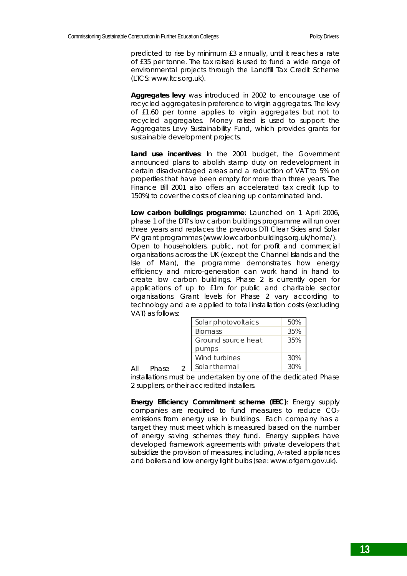predicted to rise by minimum £3 annually, until it reaches a rate of £35 per tonne. The tax raised is used to fund a wide range of environmental projects through the Landfill Tax Credit Scheme (LTCS: www.ltcs.org.uk).

**Aggregates levy** was introduced in 2002 to encourage use of recycled aggregates in preference to virgin aggregates. The levy of £1.60 per tonne applies to virgin aggregates but not to recycled aggregates. Money raised is used to support the Aggregates Levy Sustainability Fund, which provides grants for sustainable development projects.

**Land use incentives**: In the 2001 budget, the Government announced plans to abolish stamp duty on redevelopment in certain disadvantaged areas and a reduction of VAT to 5% on properties that have been empty for more than three years. The Finance Bill 2001 also offers an accelerated tax credit (up to 150%) to cover the costs of cleaning up contaminated land.

**Low carbon buildings programme**: Launched on 1 April 2006, phase 1 of the DTI's low carbon buildings programme will run over three years and replaces the previous DTI Clear Skies and Solar PV grant programmes (www.lowcarbonbuildings.org.uk/home/). Open to householders, public, not for profit and commercial organisations across the UK (except the Channel Islands and the Isle of Man), the programme demonstrates how energy efficiency and micro-generation can work hand in hand to create low carbon buildings. Phase 2 is currently open for applications of up to £1m for public and charitable sector organisations. Grant levels for Phase 2 vary according to technology and are applied to total installation costs (excluding VAT) as follows:

| Solar photovoltaics | 50%    |
|---------------------|--------|
| <b>Biomass</b>      | 35%    |
| Ground source heat  | 35%    |
| pumps               |        |
| Wind turbines       | 30%    |
| Solar thermal       | $30\%$ |

installations must be undertaken by one of the dedicated Phase 2 suppliers, or their accredited installers.

All Phase 2

**Energy Efficiency Commitment scheme (EEC)**: Energy supply companies are required to fund measures to reduce CO2 emissions from energy use in buildings. Each company has a target they must meet which is measured based on the number of energy saving schemes they fund. Energy suppliers have developed framework agreements with private developers that subsidize the provision of measures, including, A-rated appliances and boilers and low energy light bulbs (see: www.ofgem.gov.uk).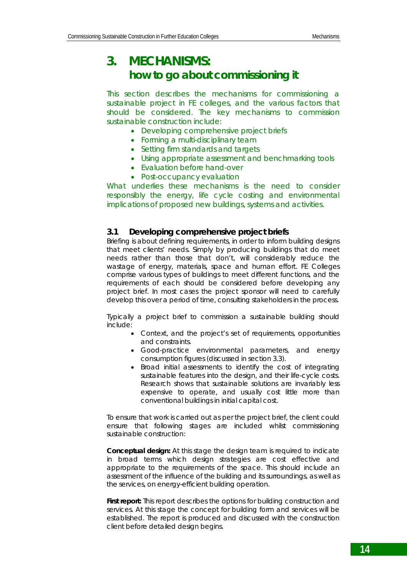# **3. MECHANISMS: how to go about commissioning it**

This section describes the mechanisms for commissioning a sustainable project in FE colleges, and the various factors that should be considered. The key mechanisms to commission sustainable construction include:

- Developing comprehensive project briefs
- Forming a multi-disciplinary team
- Setting firm standards and targets
- Using appropriate assessment and benchmarking tools
- Evaluation before hand-over
- Post-occupancy evaluation

What underlies these mechanisms is the need to consider responsibly the energy, life cycle costing and environmental implications of proposed new buildings, systems and activities.

#### **3.1 Developing comprehensive project briefs**

Briefing is about defining requirements, in order to inform building designs that meet clients' needs. Simply by producing buildings that do meet needs rather than those that don't, will considerably reduce the wastage of energy, materials, space and human effort. FE Colleges comprise various types of buildings to meet different functions, and the requirements of each should be considered before developing any project brief. In most cases the project sponsor will need to carefully develop this over a period of time, consulting stakeholders in the process.

Typically a project brief to commission a sustainable building should include:

- Context, and the project's set of requirements, opportunities and constraints.
- Good-practice environmental parameters, and energy consumption figures (discussed in section 3.3).
- Broad initial assessments to identify the cost of integrating sustainable features into the design, and their life-cycle costs. Research shows that sustainable solutions are invariably less expensive to operate, and usually cost little more than conventional buildings in initial capital cost.

To ensure that work is carried out as per the project brief, the client could ensure that following stages are included whilst commissioning sustainable construction:

**Conceptual design:** At this stage the design team is required to indicate in broad terms which design strategies are cost effective and appropriate to the requirements of the space. This should include an assessment of the influence of the building and its surroundings, as well as the services, on energy-efficient building operation.

**First report:** This report describes the options for building construction and services. At this stage the concept for building form and services will be established. The report is produced and discussed with the construction client before detailed design begins.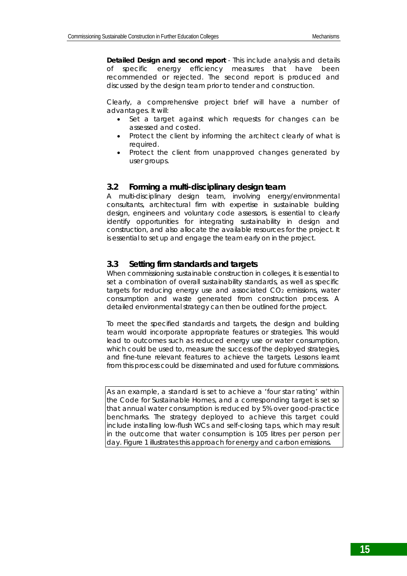**Detailed Design and second report** - This include analysis and details of specific energy efficiency measures that have been recommended or rejected. The second report is produced and discussed by the design team prior to tender and construction.

Clearly, a comprehensive project brief will have a number of advantages. It will:

- Set a target against which requests for changes can be assessed and costed.
- Protect the client by informing the architect clearly of what is required.
- Protect the client from unapproved changes generated by user groups.

#### **3.2 Forming a multi-disciplinary design team**

A multi-disciplinary design team, involving energy/environmental consultants, architectural firm with expertise in sustainable building design, engineers and voluntary code assessors, is essential to clearly identify opportunities for integrating sustainability in design and construction, and also allocate the available resources for the project. It is essential to set up and engage the team early on in the project.

#### **3.3 Setting firm standards and targets**

When commissioning sustainable construction in colleges, it is essential to set a combination of overall sustainability standards, as well as specific targets for reducing energy use and associated CO<sub>2</sub> emissions, water consumption and waste generated from construction process. A detailed environmental strategy can then be outlined for the project.

To meet the specified standards and targets, the design and building team would incorporate appropriate features or strategies. This would lead to outcomes such as reduced energy use or water consumption, which could be used to, measure the success of the deployed strategies, and fine-tune relevant features to achieve the targets. Lessons learnt from this process could be disseminated and used for future commissions.

As an example, a *standard* is set to achieve a 'four star rating' within the Code for Sustainable Homes, and a corresponding *target* is set so that annual water consumption is reduced by 5% over good-practice benchmarks. The *strategy* deployed to achieve this target could include installing low-flush WCs and self-closing taps, which may result in the *outcome* that water consumption is 105 litres per person per day. Figure 1 illustrates this approach for energy and carbon emissions.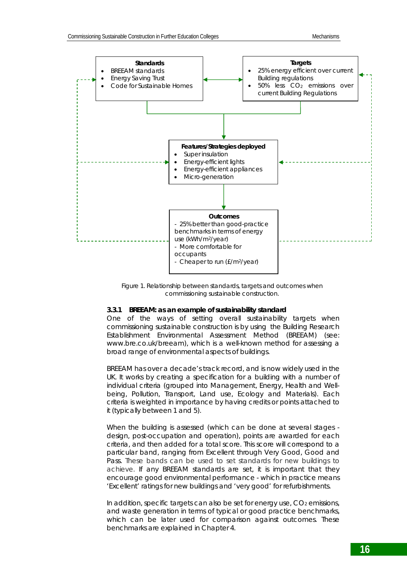

*Figure 1. Relationship between standards, targets and outcomes when commissioning sustainable construction.*

#### **3.3.1 BREEAM: as an example of sustainability standard**

One of the ways of setting overall sustainability targets when commissioning sustainable construction is by using the Building Research Establishment Environmental Assessment Method (BREEAM) (see: www.bre.co.uk/breeam), which is a well-known method for assessing a broad range of environmental aspects of buildings.

BREEAM has over a decade's track record, and is now widely used in the UK. It works by creating a specification for a building with a number of individual criteria (grouped into Management, Energy, Health and Wellbeing, Pollution, Transport, Land use, Ecology and Materials). Each criteria is weighted in importance by having credits or points attached to it (typically between 1 and 5).

When the building is assessed (which can be done at several stages design, post-occupation and operation), points are awarded for each criteria, and then added for a total score. This score will correspond to a particular band, ranging from Excellent through Very Good, Good and Pass. These bands can be used to set standards for new buildings to achieve. If any BREEAM standards are set, it is important that they encourage good environmental performance - which in practice means 'Excellent' ratings for new buildings and 'very good' for refurbishments.

In addition, specific targets can also be set for energy use,  $CO<sub>2</sub>$  emissions, and waste generation in terms of typical or good practice benchmarks, which can be later used for comparison against outcomes. These benchmarks are explained in Chapter 4.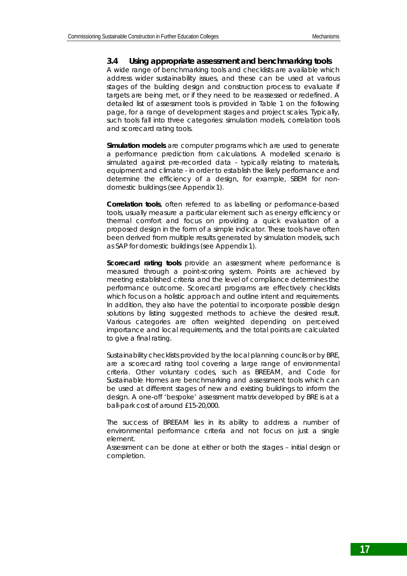#### **3.4 Using appropriate assessment and benchmarking tools**

A wide range of benchmarking tools and checklists are available which address wider sustainability issues, and these can be used at various stages of the building design and construction process to evaluate if targets are being met, or if they need to be reassessed or redefined. A detailed list of assessment tools is provided in Table 1 on the following page, for a range of development stages and project scales. Typically, such tools fall into three categories: simulation models, correlation tools and scorecard rating tools.

*Simulation models* are computer programs which are used to generate a performance prediction from calculations. A modelled scenario is simulated against pre-recorded data - typically relating to materials, equipment and climate - in order to establish the likely performance and determine the efficiency of a design, for example, SBEM for nondomestic buildings (see Appendix 1).

*Correlation tools*, often referred to as labelling or performance-based tools, usually measure a particular element such as energy efficiency or thermal comfort and focus on providing a quick evaluation of a proposed design in the form of a simple indicator. These tools have often been derived from multiple results generated by simulation models, such as SAP for domestic buildings (see Appendix 1).

*Scorecard rating tools* provide an assessment where performance is measured through a point-scoring system. Points are achieved by meeting established criteria and the level of compliance determines the performance outcome. Scorecard programs are effectively checklists which focus on a holistic approach and outline intent and requirements. In addition, they also have the potential to incorporate possible design solutions by listing suggested methods to achieve the desired result. Various categories are often weighted depending on perceived importance and local requirements, and the total points are calculated to give a final rating.

Sustainability checklists provided by the local planning councils or by BRE, are a scorecard rating tool covering a large range of environmental criteria. Other voluntary codes, such as BREEAM, and Code for Sustainable Homes are benchmarking and assessment tools which can be used at different stages of new and existing buildings to inform the design. A one-off 'bespoke' assessment matrix developed by BRE is at a ball-park cost of around £15-20,000.

The success of BREEAM lies in its ability to address a number of environmental performance criteria and not focus on just a single element.

Assessment can be done at either or both the stages – initial design or completion.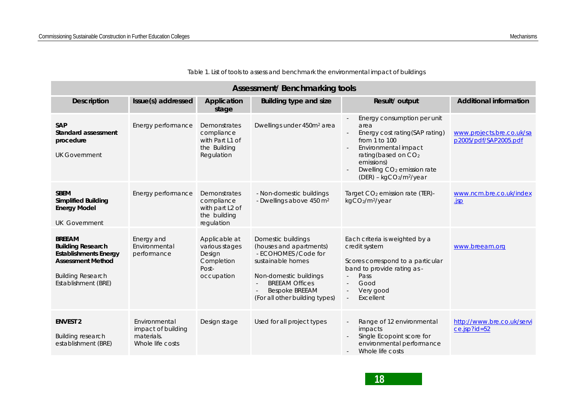| <b>Assessment/Benchmarking tools</b>                                                                                                                     |                                                                       |                                                                                         |                                                                                                                                                                                                           |                                                                                                                                                                                                                                                     |                                                    |  |
|----------------------------------------------------------------------------------------------------------------------------------------------------------|-----------------------------------------------------------------------|-----------------------------------------------------------------------------------------|-----------------------------------------------------------------------------------------------------------------------------------------------------------------------------------------------------------|-----------------------------------------------------------------------------------------------------------------------------------------------------------------------------------------------------------------------------------------------------|----------------------------------------------------|--|
| <b>Description</b>                                                                                                                                       | Issue(s) addressed                                                    | Application<br>stage                                                                    | <b>Building type and size</b>                                                                                                                                                                             | Result/ output                                                                                                                                                                                                                                      | <b>Additional information</b>                      |  |
| <b>SAP</b><br>Standard assessment<br>procedure<br><b>UK Government</b>                                                                                   | Energy performance                                                    | Demonstrates<br>compliance<br>with Part L1 of<br>the Building<br>Regulation             | Dwellings under 450m <sup>2</sup> area                                                                                                                                                                    | Energy consumption per unit<br>area<br>Energy cost rating(SAP rating)<br>from $1$ to $100$<br>Environmental impact<br>rating(based on CO <sub>2</sub><br>emissions)<br>Dwelling CO <sub>2</sub> emission rate<br>(DER) - kgCO2/m <sup>2</sup> /year | www.projects.bre.co.uk/sa<br>p2005/pdf/SAP2005.pdf |  |
| <b>SBEM</b><br><b>Simplified Building</b><br><b>Energy Model</b><br><b>UK Government</b>                                                                 | Energy performance                                                    | Demonstrates<br>compliance<br>with part L <sub>2</sub> of<br>the building<br>regulation | - Non-domestic buildings<br>- Dwellings above 450 m <sup>2</sup>                                                                                                                                          | Target $CO2$ emission rate (TER)-<br>kgCO2/m <sup>2</sup> /year                                                                                                                                                                                     | www.ncm.bre.co.uk/index<br><u>isp</u>              |  |
| <b>BREEAM</b><br><b>Building Research</b><br><b>Establishments Energy</b><br><b>Assessment Method</b><br><b>Building Research</b><br>Establishment (BRE) | Energy and<br>Environmental<br>performance                            | Applicable at<br>various stages<br>Design<br>Completion<br>Post-<br>occupation          | Domestic buildings<br>(houses and apartments)<br>- ECOHOMES / Code for<br>sustainable homes<br>Non-domestic buildings<br><b>BREEAM Offices</b><br><b>Bespoke BREEAM</b><br>(For all other building types) | Each criteria is weighted by a<br>credit system<br>Scores correspond to a particular<br>band to provide rating as -<br>Pass<br>Good<br>$\sim$<br>Very good<br>$\overline{\phantom{a}}$<br>Excellent<br>$\sim$                                       | www.breeam.org                                     |  |
| <b>ENVEST 2</b><br><b>Building research</b><br>establishment (BRE)                                                                                       | Environmental<br>impact of building<br>materials.<br>Whole life costs | Design stage                                                                            | Used for all project types                                                                                                                                                                                | Range of 12 environmental<br>impacts<br>Single Ecopoint score for<br>environmental performance<br>Whole life costs                                                                                                                                  | http://www.bre.co.uk/servi<br>ce.jsp?id=52         |  |

*Table 1. List of tools to assess and benchmark the environmental impact of buildings*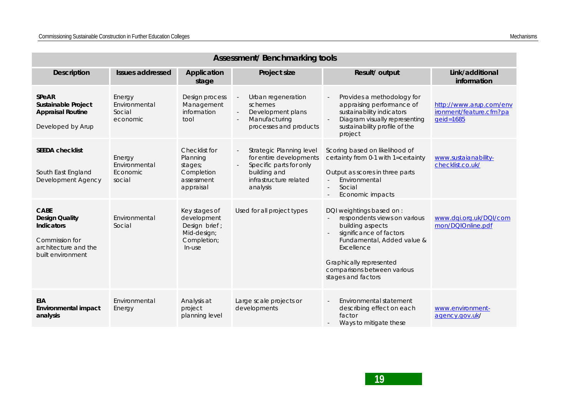| <b>Assessment/Benchmarking tools</b>                                                                              |                                                                 |                                                                                       |                                                                                                                                      |                                                                                                                                                                                                                                                |                                                                 |  |
|-------------------------------------------------------------------------------------------------------------------|-----------------------------------------------------------------|---------------------------------------------------------------------------------------|--------------------------------------------------------------------------------------------------------------------------------------|------------------------------------------------------------------------------------------------------------------------------------------------------------------------------------------------------------------------------------------------|-----------------------------------------------------------------|--|
| <b>Description</b>                                                                                                | <b>Issues addressed</b><br>Application<br>Project size<br>stage |                                                                                       |                                                                                                                                      | Result/ output                                                                                                                                                                                                                                 | Link/additional<br>information                                  |  |
| <b>SPeAR</b><br><b>Sustainable Project</b><br><b>Appraisal Routine</b><br>Developed by Arup                       | Energy<br>Environmental<br>Social<br>economic                   | Design process<br>Management<br>information<br>tool                                   | Urban regeneration<br>schemes<br>Development plans<br>Manufacturing<br>processes and products                                        | Provides a methodology for<br>$\sim$<br>appraising performance of<br>sustainability indicators<br>Diagram visually representing<br>sustainability profile of the<br>project                                                                    | http://www.arup.com/env<br>ironment/feature.cfm?pa<br>geid=1685 |  |
| <b>SEEDA checklist</b><br>South East England<br>Development Agency                                                | Energy<br>Environmental<br>Economic<br>social                   | Checklist for<br>Planning<br>stages;<br>Completion<br>assessment<br>appraisal         | Strategic Planning level<br>for entire developments<br>Specific parts for only<br>building and<br>infrastructure related<br>analysis | Scoring based on likelihood of<br>certainty from 0-1 with 1=certainty<br>Output as scores in three parts<br>Environmental<br>Social<br>Economic impacts                                                                                        | www.sustaianability-<br>checklist.co.uk/                        |  |
| <b>CABE</b><br><b>Design Quality</b><br>Indicators<br>Commission for<br>architecture and the<br>built environment | Environmental<br>Social                                         | Key stages of<br>development<br>Design brief;<br>Mid-design;<br>Completion;<br>In-use | Used for all project types                                                                                                           | DQI weightings based on :<br>respondents views on various<br>$\sim$<br>building aspects<br>significance of factors<br>Fundamental, Added value &<br>Excellence<br>Graphically represented<br>comparisons between various<br>stages and factors | www.dqi.org.uk/DQI/com<br>mon/DQlOnline.pdf                     |  |
| <b>EIA</b><br><b>Environmental impact</b><br>analysis                                                             | Environmental<br>Energy                                         | Analysis at<br>project<br>planning level                                              | Large scale projects or<br>developments                                                                                              | Environmental statement<br>describing effect on each<br>factor<br>Ways to mitigate these                                                                                                                                                       | www.environment-<br>agency.gov.uk/                              |  |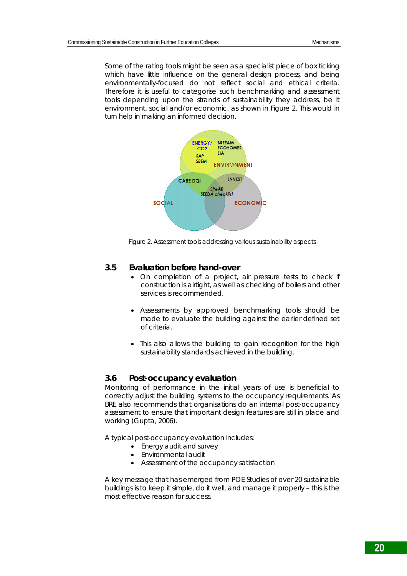Some of the rating tools might be seen as a specialist piece of box ticking which have little influence on the general design process, and being environmentally-focused do not reflect social and ethical criteria. Therefore it is useful to categorise such benchmarking and assessment tools depending upon the strands of sustainability they address, be it environment, social and/or economic, as shown in Figure 2. This would in turn help in making an informed decision.



*Figure 2. Assessment tools addressing various sustainability aspects*

### **3.5 Evaluation before hand-over**

- On completion of a project, air pressure tests to check if construction is airtight, as well as checking of boilers and other services is recommended.
- Assessments by approved benchmarking tools should be made to evaluate the building against the earlier defined set of criteria.
- This also allows the building to gain recognition for the high sustainability standards achieved in the building.

#### **3.6 Post-occupancy evaluation**

Monitoring of performance in the initial years of use is beneficial to correctly adjust the building systems to the occupancy requirements. As BRE also recommends that organisations do an internal post-occupancy assessment to ensure that important design features are still in place and working (Gupta, 2006).

A typical post-occupancy evaluation includes:

- Energy audit and survey
- Environmental audit
- Assessment of the occupancy satisfaction

A key message that has emerged from POE Studies of over 20 sustainable buildings is to *keep it simple, do it well, and manage it properly* – this is the most effective reason for success.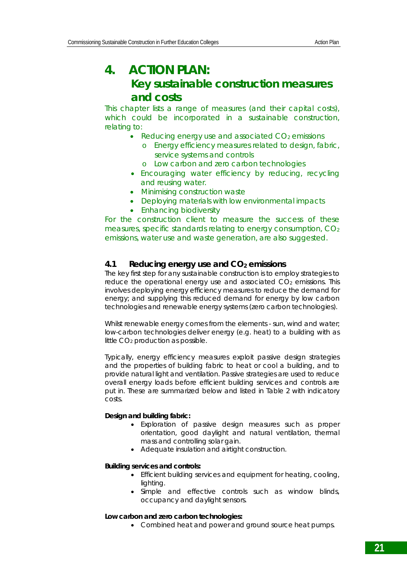# **4. ACTION PLAN: Key sustainable construction measures and costs**

This chapter lists a range of measures (and their capital costs), which could be incorporated in a sustainable construction, relating to:

- Reducing energy use and associated  $CO<sub>2</sub>$  emissions
	- o Energy efficiency measures related to design, fabric, service systems and controls
	- o Low carbon and zero carbon technologies
- Encouraging water efficiency by reducing, recycling and reusing water.
- Minimising construction waste
- Deploying materials with low environmental impacts
- Enhancing biodiversity

For the construction client to measure the success of these measures, specific standards relating to energy consumption, CO2 emissions, water use and waste generation, are also suggested.

# **4.1 Reducing energy use and CO2 emissions**

The key first step for any sustainable construction is to employ strategies to reduce the operational energy use and associated  $CO<sub>2</sub>$  emissions. This involves deploying energy efficiency measures to reduce the demand for energy; and supplying this reduced demand for energy by low carbon technologies and renewable energy systems (zero carbon technologies).

Whilst renewable energy comes from the elements - sun, wind and water; low-carbon technologies deliver energy (e.g. heat) to a building with as little CO<sub>2</sub> production as possible.

Typically, energy efficiency measures exploit passive design strategies and the properties of building fabric to heat or cool a building, and to provide natural light and ventilation. Passive strategies are used to reduce overall energy loads before efficient building services and controls are put in. These are summarized below and listed in Table 2 with indicatory costs.

### **Design and building fabric:**

- Exploration of passive design measures such as proper orientation, good daylight and natural ventilation, thermal mass and controlling solar gain.
- Adequate insulation and airtight construction.

### **Building services and controls:**

- Efficient building services and equipment for heating, cooling, lighting.
- Simple and effective controls such as window blinds, occupancy and daylight sensors.

#### **Low carbon and zero carbon technologies:**

• Combined heat and power and ground source heat pumps.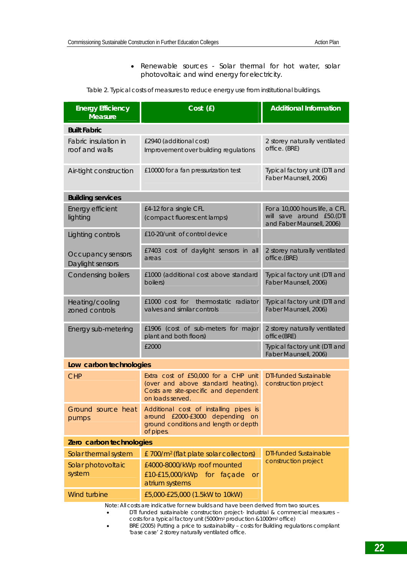• Renewable sources - Solar thermal for hot water, solar photovoltaic and wind energy for electricity.

| Table 2. Typical costs of measures to reduce energy use from institutional buildings. |  |
|---------------------------------------------------------------------------------------|--|
|                                                                                       |  |

| <b>Energy Efficiency</b><br><b>Measure</b> | Cost (£)                                                                                                                                | <b>Additional Information</b>                                                            |  |  |  |  |  |
|--------------------------------------------|-----------------------------------------------------------------------------------------------------------------------------------------|------------------------------------------------------------------------------------------|--|--|--|--|--|
| <b>Built Fabric</b>                        |                                                                                                                                         |                                                                                          |  |  |  |  |  |
| Fabric insulation in<br>roof and walls     | £2940 (additional cost)<br>Improvement over building regulations                                                                        | 2 storey naturally ventilated<br>office. (BRE)                                           |  |  |  |  |  |
| Air-tight construction                     | £10000 for a fan pressurization test                                                                                                    | Typical factory unit (DTI and<br>Faber Maunsell, 2006)                                   |  |  |  |  |  |
| <b>Building services</b>                   |                                                                                                                                         |                                                                                          |  |  |  |  |  |
| Energy efficient<br>lighting               | £4-12 for a single CFL<br>(compact fluorescent lamps)                                                                                   | For a 10,000 hours life, a CFL<br>will save around £50.(DTI<br>and Faber Maunsell, 2006) |  |  |  |  |  |
| Lighting controls                          | £10-20/unit of control device                                                                                                           |                                                                                          |  |  |  |  |  |
| Occupancy sensors<br>Daylight sensors      | £7403 cost of daylight sensors in all<br>areas                                                                                          | 2 storey naturally ventilated<br>office.(BRE)                                            |  |  |  |  |  |
| <b>Condensing boilers</b>                  | £1000 (additional cost above standard<br>boilers)                                                                                       | Typical factory unit (DTI and<br>Faber Maunsell, 2006)                                   |  |  |  |  |  |
| Heating/cooling<br>zoned controls          | thermostatic radiator<br>£1000 cost for<br>valves and similar controls                                                                  | Typical factory unit (DTI and<br>Faber Maunsell, 2006)                                   |  |  |  |  |  |
| Energy sub-metering                        | £1906 (cost of sub-meters for major<br>plant and both floors)                                                                           | 2 storey naturally ventilated<br>office(BRE)                                             |  |  |  |  |  |
|                                            | £2000                                                                                                                                   | Typical factory unit (DTI and<br>Faber Maunsell, 2006)                                   |  |  |  |  |  |
| Low carbon technologies                    |                                                                                                                                         |                                                                                          |  |  |  |  |  |
| <b>CHP</b>                                 | Extra cost of £50,000 for a CHP unit<br>(over and above standard heating).<br>Costs are site-specific and dependent<br>on loads served. | <b>DTI-funded Sustainable</b><br>construction project                                    |  |  |  |  |  |
| Ground source heat<br>pumps                | Additional cost of installing pipes is<br>around £2000-£3000 depending on<br>ground conditions and length or depth<br>of pipes.         |                                                                                          |  |  |  |  |  |
| Zero carbon technologies                   |                                                                                                                                         |                                                                                          |  |  |  |  |  |
| Solar thermal system                       | £700/m <sup>2</sup> (flat plate solar collectors)                                                                                       | <b>DTI-funded Sustainable</b><br>construction project                                    |  |  |  |  |  |
| Solar photovoltaic<br>system               | £4000-8000/kWp roof mounted<br>£10-£15,000/kWp for façade<br><b>or</b><br>atrium systems                                                |                                                                                          |  |  |  |  |  |
| Wind turbine                               | £5,000-£25,000 (1.5kW to 10kW)                                                                                                          |                                                                                          |  |  |  |  |  |

Note: All costs are indicative for new builds and have been derived from two sources.

• DTI funded sustainable construction project- Industrial & commercial measures – costs for a typical factory unit (5000m2 production &1000m2 office)

• BRE (2005) Putting a price to sustainability – costs for Building regulations compliant 'base case' 2 storey naturally ventilated office.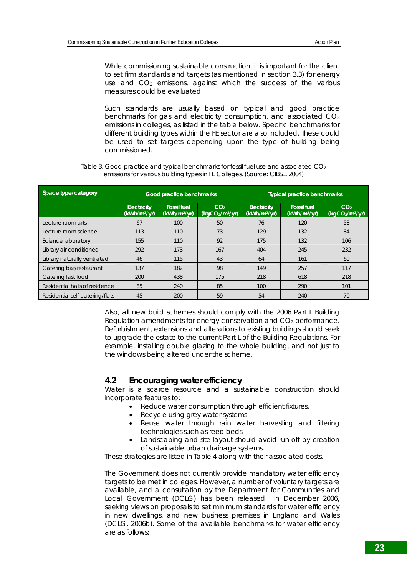While commissioning sustainable construction, it is important for the client to set firm standards and targets (as mentioned in section 3.3) for energy use and CO<sub>2</sub> emissions, against which the success of the various measures could be evaluated.

Such standards are usually based on typical and good practice benchmarks for gas and electricity consumption, and associated  $CO<sub>2</sub>$ emissions in colleges, as listed in the table below. Specific benchmarks for different building types within the FE sector are also included. These could be used to set targets depending upon the type of building being commissioned.

| Space type/category             | Good practice benchmarks                       |                                                |                                                            | <b>Typical practice benchmarks</b>             |                                                |                                                            |
|---------------------------------|------------------------------------------------|------------------------------------------------|------------------------------------------------------------|------------------------------------------------|------------------------------------------------|------------------------------------------------------------|
|                                 | <b>Electricity</b><br>(kWh/m <sup>2</sup> /yr) | <b>Fossil fuel</b><br>(kWh/m <sup>2</sup> /yr) | CO <sub>2</sub><br>(kqCO <sub>2</sub> /m <sup>2</sup> /yr) | <b>Electricity</b><br>(kWh/m <sup>2</sup> /yr) | <b>Fossil fuel</b><br>(kWh/m <sup>2</sup> /yr) | CO <sub>2</sub><br>(kqCO <sub>2</sub> /m <sup>2</sup> /yr) |
| Lecture room arts               | 67                                             | 100                                            | 50                                                         | 76                                             | 120                                            | 58                                                         |
| Lecture room science            | 113                                            | 110                                            | 73                                                         | 129                                            | 132                                            | 84                                                         |
| Science laboratory              | 155                                            | 110                                            | 92                                                         | 175                                            | 132                                            | 106                                                        |
| Library air-conditioned         | 292                                            | 173                                            | 167                                                        | 404                                            | 245                                            | 232                                                        |
| Library naturally ventilated    | 46                                             | 115                                            | 43                                                         | 64                                             | 161                                            | 60                                                         |
| Catering bar/restaurant         | 137                                            | 182                                            | 98                                                         | 149                                            | 257                                            | 117                                                        |
| Catering fast food              | 200                                            | 438                                            | 175                                                        | 218                                            | 618                                            | 218                                                        |
| Residential halls of residence  | 85                                             | 240                                            | 85                                                         | 100                                            | 290                                            | 101                                                        |
| Residential self-catering/flats | 45                                             | 200                                            | 59                                                         | 54                                             | 240                                            | 70                                                         |

*Table 3. Good-practice and typical benchmarks for fossil fuel use and associated CO2 emissions for various building types in FE Colleges. (Source: CIBSE, 2004)* 

Also, all new build schemes should comply with the 2006 Part L Building Regulation amendments for energy conservation and CO<sub>2</sub> performance. Refurbishment, extensions and alterations to existing buildings should seek to upgrade the estate to the current Part L of the Building Regulations. For example, installing double glazing to the whole building, and not just to the windows being altered under the scheme.

### **4.2 Encouraging water efficiency**

Water is a scarce resource and a sustainable construction should incorporate features to:

- Reduce water consumption through efficient fixtures,
	- Recycle using grey water systems
	- Reuse water through rain water harvesting and filtering technologies such as reed beds.
	- Landscaping and site layout should avoid run-off by creation of sustainable urban drainage systems.

These strategies are listed in Table 4 along with their associated costs.

The Government does not currently provide mandatory water efficiency targets to be met in colleges. However, a number of voluntary targets are available, and a consultation by the Department for Communities and Local Government (DCLG) has been released in December 2006, seeking views on proposals to set minimum standards for water efficiency in new dwellings, and new business premises in England and Wales (DCLG, 2006b). Some of the available benchmarks for water efficiency are as follows: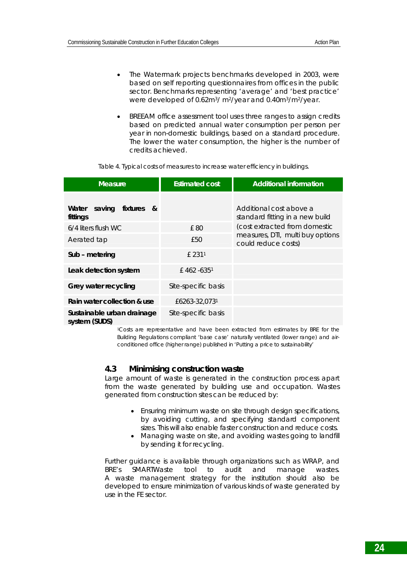- The Watermark projects benchmarks developed in 2003, were based on self reporting questionnaires from offices in the public sector. Benchmarks representing 'average' and 'best practice' were developed of 0.62m3/ m2/year and 0.40m3/m2/year.
- BREEAM office assessment tool uses three ranges to assign credits based on predicted annual water consumption per person per year in non-domestic buildings, based on a standard procedure. The lower the water consumption, the higher is the number of credits achieved.

| <b>Measure</b>                              | <b>Estimated cost</b>     | <b>Additional information</b>                              |
|---------------------------------------------|---------------------------|------------------------------------------------------------|
| saving fixtures<br>Water<br>&<br>fittings   |                           | Additional cost above a<br>standard fitting in a new build |
| 6/4 liters flush WC                         | £80                       | (cost extracted from domestic                              |
| Aerated tap                                 | £50                       | measures, DTI, multi buy options<br>could reduce costs)    |
| Sub - metering                              | £ 2311                    |                                                            |
| Leak detection system                       | $£$ 462 -635 <sup>1</sup> |                                                            |
| Grey water recycling                        | Site-specific basis       |                                                            |
| Rain water collection & use                 | £6263-32,0731             |                                                            |
| Sustainable urban drainage<br>system (SUDS) | Site-specific basis       |                                                            |

*Table 4. Typical costs of measures to increase water efficiency in buildings.* 

1Costs are representative and have been extracted from estimates by BRE for the Building Regulations compliant 'base case' naturally ventilated (lower range) and airconditioned office (higher range) published in 'Putting a price to sustainability'

### **4.3 Minimising construction waste**

Large amount of waste is generated in the construction process apart from the waste generated by building use and occupation. Wastes generated from construction sites can be reduced by:

- Ensuring minimum waste on site through design specifications, by avoiding cutting, and specifying standard component sizes. This will also enable faster construction and reduce costs.
- Managing waste on site, and avoiding wastes going to landfill by sending it for recycling.

Further guidance is available through organizations such as WRAP, and BRE's *SMARTWaste* tool to audit and manage wastes. A waste management strategy for the institution should also be developed to ensure minimization of various kinds of waste generated by use in the FE sector.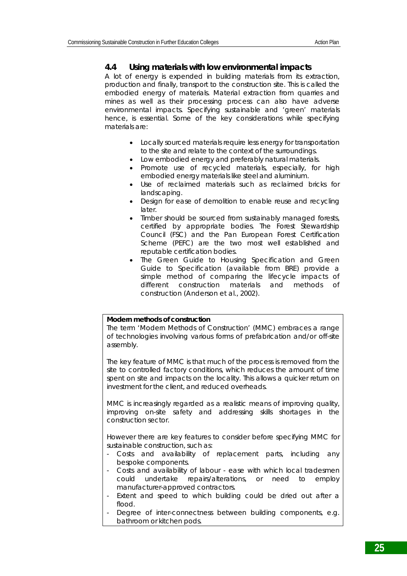### **4.4 Using materials with low environmental impacts**

A lot of energy is expended in building materials from its extraction, production and finally, transport to the construction site. This is called the embodied energy of materials. Material extraction from quarries and mines as well as their processing process can also have adverse environmental impacts. Specifying sustainable and 'green' materials hence, is essential. Some of the key considerations while specifying materials are:

- Locally sourced materials require less energy for transportation to the site and relate to the context of the surroundings.
- Low embodied energy and preferably natural materials.
- Promote use of recycled materials, especially, for high embodied energy materials like steel and aluminium.
- Use of reclaimed materials such as reclaimed bricks for landscaping.
- Design for ease of demolition to enable reuse and recycling later.
- Timber should be sourced from sustainably managed forests, certified by appropriate bodies. The Forest Stewardship Council (FSC) and the Pan European Forest Certification Scheme (PEFC) are the two most well established and reputable certification bodies.
- The Green Guide to Housing Specification and Green Guide to Specification (available from BRE) provide a simple method of comparing the lifecycle impacts of different construction materials and methods of construction (Anderson et al., 2002).

#### **Modern methods of construction**

The term 'Modern Methods of Construction' (MMC) embraces a range of technologies involving various forms of prefabrication and/or off-site assembly.

The key feature of MMC is that much of the process is removed from the site to controlled factory conditions, which reduces the amount of time spent on site and impacts on the locality. This allows a quicker return on investment for the client, and reduced overheads.

MMC is increasingly regarded as a realistic means of improving quality, improving on-site safety and addressing skills shortages in the construction sector.

However there are key features to consider before specifying MMC for sustainable construction, such as:

- Costs and availability of replacement parts, including any bespoke components.
- Costs and availability of labour ease with which local tradesmen could undertake repairs/alterations, or need to employ manufacturer-approved contractors.
- Extent and speed to which building could be dried out after a flood.
- Degree of inter-connectness between building components, e.g. bathroom or kitchen pods.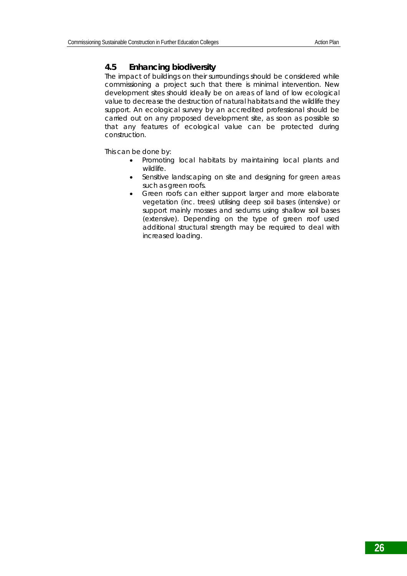# **4.5 Enhancing biodiversity**

The impact of buildings on their surroundings should be considered while commissioning a project such that there is minimal intervention. New development sites should ideally be on areas of land of low ecological value to decrease the destruction of natural habitats and the wildlife they support. An ecological survey by an accredited professional should be carried out on any proposed development site, as soon as possible so that any features of ecological value can be protected during construction.

This can be done by:

- Promoting local habitats by maintaining local plants and wildlife.
- Sensitive landscaping on site and designing for green areas such as green roofs.
- Green roofs can either support larger and more elaborate vegetation (inc. trees) utilising deep soil bases (intensive) or support mainly mosses and sedums using shallow soil bases (extensive). Depending on the type of green roof used additional structural strength may be required to deal with increased loading.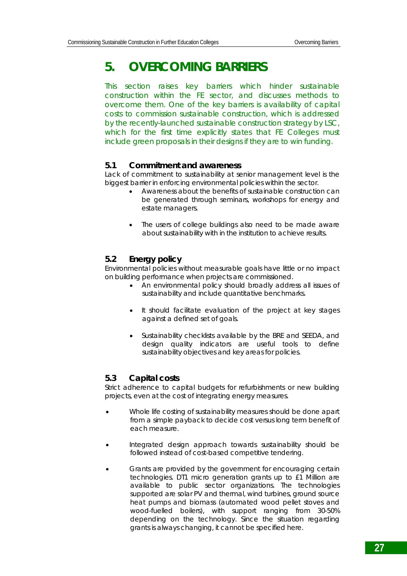# **5. OVERCOMING BARRIERS**

This section raises key barriers which hinder sustainable construction within the FE sector, and discusses methods to overcome them. One of the key barriers is availability of capital costs to commission sustainable construction, which is addressed by the recently-launched sustainable construction strategy by LSC, which for the first time explicitly states that FE Colleges must include green proposals in their designs if they are to win funding.

### **5.1 Commitment and awareness**

Lack of commitment to sustainability at senior management level is the biggest barrier in enforcing environmental policies within the sector.

- Awareness about the benefits of sustainable construction can be generated through seminars, workshops for energy and estate managers.
- The users of college buildings also need to be made aware about sustainability with in the institution to achieve results.

# **5.2 Energy policy**

Environmental policies without measurable goals have little or no impact on building performance when projects are commissioned.

- An environmental policy should broadly address all issues of sustainability and include quantitative benchmarks.
- It should facilitate evaluation of the project at key stages against a defined set of goals.
- Sustainability checklists available by the BRE and SEEDA, and design quality indicators are useful tools to define sustainability objectives and key areas for policies.

# **5.3 Capital costs**

Strict adherence to capital budgets for refurbishments or new building projects, even at the cost of integrating energy measures.

- Whole life costing of sustainability measures should be done apart from a simple payback to decide cost versus long term benefit of each measure.
- Integrated design approach towards sustainability should be followed instead of cost-based competitive tendering.
- Grants are provided by the government for encouraging certain technologies. DT1 micro generation grants up to £1 Million are available to public sector organizations. The technologies supported are solar PV and thermal, wind turbines, ground source heat pumps and biomass (automated wood pellet stoves and wood-fuelled boilers), with support ranging from 30-50% depending on the technology. Since the situation regarding grants is always changing, it cannot be specified here.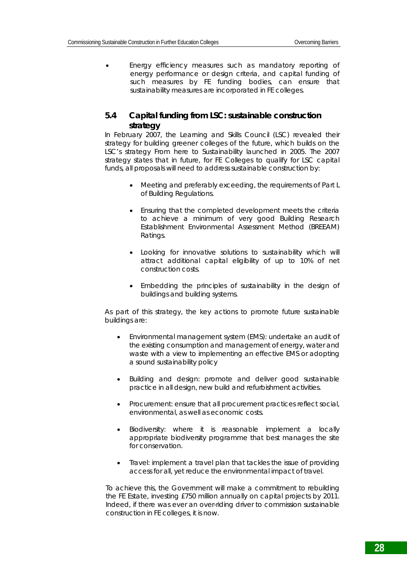• Energy efficiency measures such as mandatory reporting of energy performance or design criteria, and capital funding of such measures by FE funding bodies, can ensure that sustainability measures are incorporated in FE colleges.

# **5.4 Capital funding from LSC: sustainable construction strategy**

In February 2007, the Learning and Skills Council (LSC) revealed their strategy for building greener colleges of the future, which builds on the LSC's strategy *From here to Sustainability* launched in 2005. The 2007 strategy states that in future, for FE Colleges to qualify for LSC capital funds, all proposals will need to address sustainable construction by:

- Meeting and preferably exceeding, the requirements of Part L of Building Regulations.
- Ensuring that the completed development meets the criteria to achieve a minimum of very good Building Research Establishment Environmental Assessment Method (BREEAM) Ratings.
- Looking for innovative solutions to sustainability which will attract additional capital eligibility of up to 10% of net construction costs.
- Embedding the principles of sustainability in the design of buildings and building systems.

As part of this strategy, the key actions to promote future sustainable buildings are:

- *Environmental management system (EMS):* undertake an audit of the existing consumption and management of energy, water and waste with a view to implementing an effective EMS or adopting a sound sustainability policy
- *Building and design:* promote and deliver good sustainable practice in all design, new build and refurbishment activities.
- *Procurement:* ensure that all procurement practices reflect social, environmental, as well as economic costs.
- *Biodiversity:* where it is reasonable implement a locally appropriate biodiversity programme that best manages the site for conservation.
- *Travel:* implement a travel plan that tackles the issue of providing access for all, yet reduce the environmental impact of travel.

To achieve this, the Government will make a commitment to rebuilding the FE Estate, investing £750 million annually on capital projects by 2011. Indeed, if there was ever an over-riding driver to commission sustainable construction in FE colleges, it is now.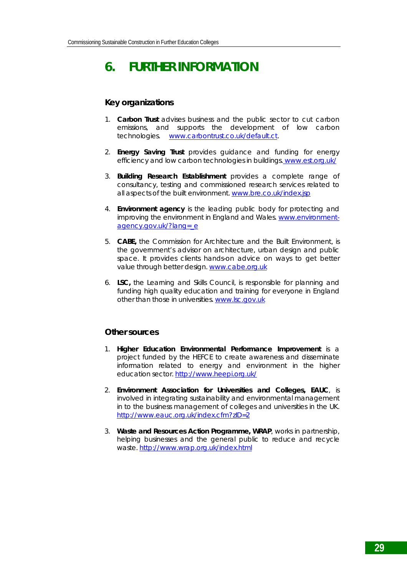# **6. FURTHER INFORMATION**

### **Key organizations**

- 1. **Carbon Trust** advises business and the public sector to cut carbon emissions, and supports the development of low carbon technologies. www.carbontrust.co.uk/default.ct.
- 2. **Energy Saving Trust** provides guidance and funding for energy efficiency and low carbon technologies in buildings. www.est.org.uk/
- 3. **Building Research Establishment** provides a complete range of consultancy, testing and commissioned research services related to all aspects of the built environment. www.bre.co.uk/index.jsp
- 4. **Environment agency** is the leading public body for protecting and improving the environment in England and Wales. www.environmentagency.gov.uk/?lang= e
- 5. **CABE,** the Commission for Architecture and the Built Environment, is the government's advisor on architecture, urban design and public space. It provides clients hands-on advice on ways to get better value through better design. www.cabe.org.uk
- 6. **LSC,** the Learning and Skills Council, is responsible for planning and funding high quality education and training for everyone in England other than those in universities. www.lsc.gov.uk

#### **Other sources**

- 1. **Higher Education Environmental Performance Improvement** is a project funded by the HEFCE to create awareness and disseminate information related to energy and environment in the higher education sector. http://www.heepi.org.uk/
- 2. **Environment Association for Universities and Colleges, EAUC**, is involved in integrating sustainability and environmental management in to the business management of colleges and universities in the UK. http://www.eauc.org.uk/index.cfm?zID=2
- 3. **Waste and Resources Action Programme, WRAP**, works in partnership, helping businesses and the general public to reduce and recycle waste. http://www.wrap.org.uk/index.html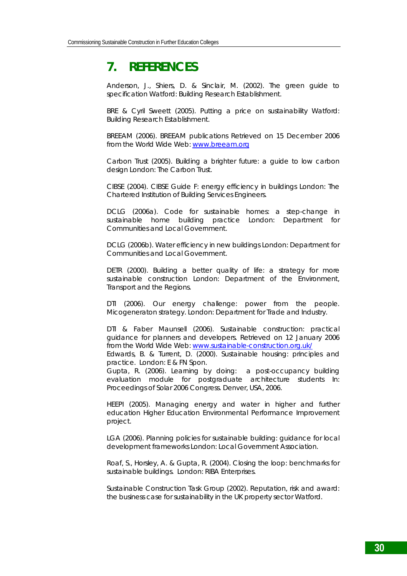# **7. REFERENCES**

Anderson, J., Shiers, D. & Sinclair, M. (2002). The green guide to specification Watford: Building Research Establishment.

BRE & Cyril Sweett (2005). Putting a price on sustainability Watford: Building Research Establishment.

BREEAM (2006). BREEAM publications Retrieved on 15 December 2006 from the World Wide Web: www.breeam.org

Carbon Trust (2005). Building a brighter future: a guide to low carbon design London: The Carbon Trust.

CIBSE (2004). CIBSE Guide F: energy efficiency in buildings London: The Chartered Institution of Building Services Engineers.

DCLG (2006a). Code for sustainable homes: a step-change in sustainable home building practice London: Department for Communities and Local Government.

DCLG (2006b). Water efficiency in new buildings London: Department for Communities and Local Government.

DETR (2000). Building a better quality of life: a strategy for more sustainable construction London: Department of the Environment, Transport and the Regions.

DTI (2006). Our energy challenge: power from the people. Micogeneraton strategy. London: Department for Trade and Industry.

DTI & Faber Maunsell (2006). Sustainable construction: practical guidance for planners and developers. Retrieved on 12 January 2006 from the World Wide Web: www.sustainable-construction.org.uk/ Edwards, B. & Turrent, D. (2000). Sustainable housing: principles and practice. London: E & FN Spon.

Gupta, R. (2006). Learning by doing: a post-occupancy building evaluation module for postgraduate architecture students In: Proceedings of Solar 2006 Congress. Denver, USA, 2006.

HEEPI (2005). Managing energy and water in higher and further education Higher Education Environmental Performance Improvement project.

LGA (2006). Planning policies for sustainable building: guidance for local development frameworks London: Local Government Association.

Roaf, S., Horsley, A. & Gupta, R. (2004). Closing the loop: benchmarks for sustainable buildings. London: RIBA Enterprises.

Sustainable Construction Task Group (2002). Reputation, risk and award: the business case for sustainability in the UK property sector Watford.